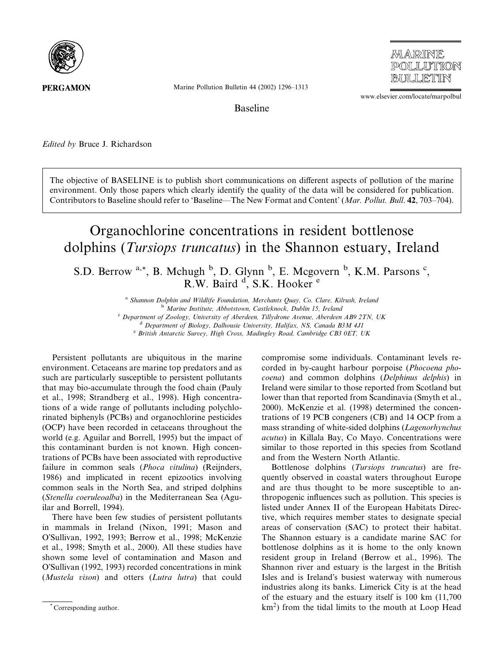

Marine Pollution Bulletin 44 (2002) 1296–1313

MARINE POLLUTION BIILLETTIN

www.elsevier.com/locate/marpolbul

Baseline

Edited by Bruce J. Richardson

The objective of BASELINE is to publish short communications on different aspects of pollution of the marine environment. Only those papers which clearly identify the quality of the data will be considered for publication. Contributors to Baseline should refer to 'Baseline—The New Format and Content' (Mar. Pollut. Bull. 42, 703–704).

## Organochlorine concentrations in resident bottlenose dolphins (Tursiops truncatus) in the Shannon estuary, Ireland

S.D. Berrow  $a^*$ , B. Mchugh  $\overline{b}$ , D. Glynn  $\overline{b}$ , E. Mcgovern  $\overline{b}$ , K.M. Parsons  $\overline{c}$ , R.W. Baird <sup>d</sup>, S.K. Hooker<sup>e</sup>

> <sup>a</sup> Shannon Dolphin and Wildlife Foundation, Merchants Quay, Co. Clare, Kilrush, Ireland <sup>b</sup> Marine Institute, Abbotstown, Castleknock, Dublin 15, Ireland <sup>c</sup> Department of Zoology, University of Aberdeen, Tillydrone Avenue, Aberdeen AB9 2TN, UK  $d$  Department of Biology, Dalhousie University, Halifax, NS, Canada B3M 4J1 <sup>e</sup> British Antarctic Survey, High Cross, Madingley Road, Cambridge CB3 0ET, UK

Persistent pollutants are ubiquitous in the marine environment. Cetaceans are marine top predators and as such are particularly susceptible to persistent pollutants that may bio-accumulate through the food chain (Pauly et al., 1998; Strandberg et al., 1998). High concentrations of a wide range of pollutants including polychlorinated biphenyls (PCBs) and organochlorine pesticides (OCP) have been recorded in cetaceans throughout the world (e.g. Aguilar and Borrell, 1995) but the impact of this contaminant burden is not known. High concentrations of PCBs have been associated with reproductive failure in common seals (*Phoca vitulina*) (Reijnders, 1986) and implicated in recent epizootics involving common seals in the North Sea, and striped dolphins (Stenella coeruleoalba) in the Mediterranean Sea (Aguilar and Borrell, 1994).

There have been few studies of persistent pollutants in mammals in Ireland (Nixon, 1991; Mason and OSullivan, 1992, 1993; Berrow et al., 1998; McKenzie et al., 1998; Smyth et al., 2000). All these studies have shown some level of contamination and Mason and OSullivan (1992, 1993) recorded concentrations in mink (Mustela vison) and otters (Lutra lutra) that could compromise some individuals. Contaminant levels recorded in by-caught harbour porpoise (Phocoena phocoena) and common dolphins (Delphinus delphis) in Ireland were similar to those reported from Scotland but lower than that reported from Scandinavia (Smyth et al., 2000). McKenzie et al. (1998) determined the concentrations of 19 PCB congeners (CB) and 14 OCP from a mass stranding of white-sided dolphins (Lagenorhynchus acutus) in Killala Bay, Co Mayo. Concentrations were similar to those reported in this species from Scotland and from the Western North Atlantic.

Bottlenose dolphins (Tursiops truncatus) are frequently observed in coastal waters throughout Europe and are thus thought to be more susceptible to anthropogenic influences such as pollution. This species is listed under Annex II of the European Habitats Directive, which requires member states to designate special areas of conservation (SAC) to protect their habitat. The Shannon estuary is a candidate marine SAC for bottlenose dolphins as it is home to the only known resident group in Ireland (Berrow et al., 1996). The Shannon river and estuary is the largest in the British Isles and is Ireland's busiest waterway with numerous industries along its banks. Limerick City is at the head of the estuary and the estuary itself is 100 km (11,700 Exercise Corresponding author.  $km^2$  from the tidal limits to the mouth at Loop Head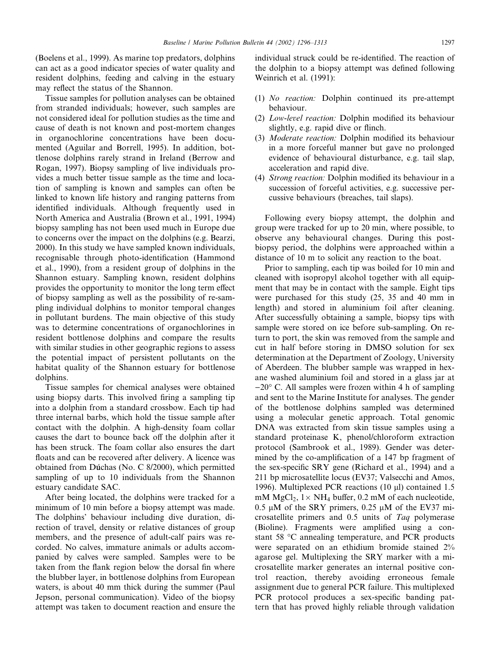(Boelens et al., 1999). As marine top predators, dolphins can act as a good indicator species of water quality and resident dolphins, feeding and calving in the estuary may reflect the status of the Shannon.

Tissue samples for pollution analyses can be obtained from stranded individuals; however, such samples are not considered ideal for pollution studies as the time and cause of death is not known and post-mortem changes in organochlorine concentrations have been documented (Aguilar and Borrell, 1995). In addition, bottlenose dolphins rarely strand in Ireland (Berrow and Rogan, 1997). Biopsy sampling of live individuals provides a much better tissue sample as the time and location of sampling is known and samples can often be linked to known life history and ranging patterns from identified individuals. Although frequently used in North America and Australia (Brown et al., 1991, 1994) biopsy sampling has not been used much in Europe due to concerns over the impact on the dolphins (e.g. Bearzi, 2000). In this study we have sampled known individuals, recognisable through photo-identification (Hammond et al., 1990), from a resident group of dolphins in the Shannon estuary. Sampling known, resident dolphins provides the opportunity to monitor the long term effect of biopsy sampling as well as the possibility of re-sampling individual dolphins to monitor temporal changes in pollutant burdens. The main objective of this study was to determine concentrations of organochlorines in resident bottlenose dolphins and compare the results with similar studies in other geographic regions to assess the potential impact of persistent pollutants on the habitat quality of the Shannon estuary for bottlenose dolphins.

Tissue samples for chemical analyses were obtained using biopsy darts. This involved firing a sampling tip into a dolphin from a standard crossbow. Each tip had three internal barbs, which hold the tissue sample after contact with the dolphin. A high-density foam collar causes the dart to bounce back off the dolphin after it has been struck. The foam collar also ensures the dart floats and can be recovered after delivery. A licence was obtained from Duchas (No. C 8/2000), which permitted sampling of up to 10 individuals from the Shannon estuary candidate SAC.

After being located, the dolphins were tracked for a minimum of 10 min before a biopsy attempt was made. The dolphins' behaviour including dive duration, direction of travel, density or relative distances of group members, and the presence of adult-calf pairs was recorded. No calves, immature animals or adults accompanied by calves were sampled. Samples were to be taken from the flank region below the dorsal fin where the blubber layer, in bottlenose dolphins from European waters, is about 40 mm thick during the summer (Paul Jepson, personal communication). Video of the biopsy attempt was taken to document reaction and ensure the

individual struck could be re-identified. The reaction of the dolphin to a biopsy attempt was defined following Weinrich et al. (1991):

- (1) No reaction: Dolphin continued its pre-attempt behaviour.
- (2) Low-level reaction: Dolphin modified its behaviour slightly, e.g. rapid dive or flinch.
- (3) Moderate reaction: Dolphin modified its behaviour in a more forceful manner but gave no prolonged evidence of behavioural disturbance, e.g. tail slap, acceleration and rapid dive.
- (4) Strong reaction: Dolphin modified its behaviour in a succession of forceful activities, e.g. successive percussive behaviours (breaches, tail slaps).

Following every biopsy attempt, the dolphin and group were tracked for up to 20 min, where possible, to observe any behavioural changes. During this postbiopsy period, the dolphins were approached within a distance of 10 m to solicit any reaction to the boat.

Prior to sampling, each tip was boiled for 10 min and cleaned with isopropyl alcohol together with all equipment that may be in contact with the sample. Eight tips were purchased for this study (25, 35 and 40 mm in length) and stored in aluminium foil after cleaning. After successfully obtaining a sample, biopsy tips with sample were stored on ice before sub-sampling. On return to port, the skin was removed from the sample and cut in half before storing in DMSO solution for sex determination at the Department of Zoology, University of Aberdeen. The blubber sample was wrapped in hexane washed aluminium foil and stored in a glass jar at  $-20^{\circ}$  C. All samples were frozen within 4 h of sampling and sent to the Marine Institute for analyses. The gender of the bottlenose dolphins sampled was determined using a molecular genetic approach. Total genomic DNA was extracted from skin tissue samples using a standard proteinase K, phenol/chloroform extraction protocol (Sambrook et al., 1989). Gender was determined by the co-amplification of a 147 bp fragment of the sex-specific SRY gene (Richard et al., 1994) and a 211 bp microsatellite locus (EV37; Valsecchi and Amos, 1996). Multiplexed PCR reactions (10  $\mu$ I) contained 1.5 mM MgCl<sub>2</sub>,  $1 \times NH_4$  buffer, 0.2 mM of each nucleotide, 0.5  $\mu$ M of the SRY primers, 0.25  $\mu$ M of the EV37 microsatellite primers and 0.5 units of Taq polymerase (Bioline). Fragments were amplified using a constant 58 °C annealing temperature, and PCR products were separated on an ethidium bromide stained 2% agarose gel. Multiplexing the SRY marker with a microsatellite marker generates an internal positive control reaction, thereby avoiding erroneous female assignment due to general PCR failure. This multiplexed PCR protocol produces a sex-specific banding pattern that has proved highly reliable through validation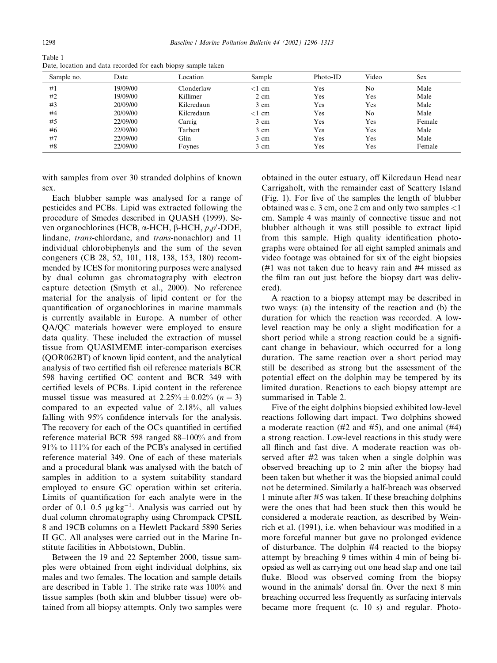Table 1 Date, location and data recorded for each biopsy sample taken

| Sample no. | Date     | Location   | Sample         | Photo-ID | Video | Sex    |
|------------|----------|------------|----------------|----------|-------|--------|
| #1         | 19/09/00 | Clonderlaw | $<$ 1<br>cm    | Yes      | No    | Male   |
| #2         | 19/09/00 | Killimer   | $2 \text{ cm}$ | Yes      | Yes   | Male   |
| #3         | 20/09/00 | Kilcredaun | 3 cm           | Yes      | Yes   | Male   |
| #4         | 20/09/00 | Kilcredaun | $<$ 1 cm       | Yes      | No    | Male   |
| #5         | 22/09/00 | Carrig     | 3 cm           | Yes      | Yes   | Female |
| #6         | 22/09/00 | Tarbert    | 3 cm           | Yes      | Yes   | Male   |
| #7         | 22/09/00 | Glin       | 3 cm           | Yes      | Yes   | Male   |
| #8         | 22/09/00 | Foynes     | 3 cm           | Yes      | Yes   | Female |

with samples from over 30 stranded dolphins of known sex.

Each blubber sample was analysed for a range of pesticides and PCBs. Lipid was extracted following the procedure of Smedes described in QUASH (1999). Seven organochlorines (HCB,  $\alpha$ -HCH,  $\beta$ -HCH,  $p, p'$ -DDE, lindane, trans-chlordane, and trans-nonachlor) and 11 individual chlorobiphenyls and the sum of the seven congeners (CB 28, 52, 101, 118, 138, 153, 180) recommended by ICES for monitoring purposes were analysed by dual column gas chromatography with electron capture detection (Smyth et al., 2000). No reference material for the analysis of lipid content or for the quantification of organochlorines in marine mammals is currently available in Europe. A number of other QA/QC materials however were employed to ensure data quality. These included the extraction of mussel tissue from QUASIMEME inter-comparison exercises (QOR062BT) of known lipid content, and the analytical analysis of two certified fish oil reference materials BCR 598 having certified OC content and BCR 349 with certified levels of PCBs. Lipid content in the reference mussel tissue was measured at  $2.25\% \pm 0.02\%$  (n = 3) compared to an expected value of 2.18%, all values falling with 95% confidence intervals for the analysis. The recovery for each of the OCs quantified in certified reference material BCR 598 ranged 88–100% and from 91% to 111% for each of the PCB's analysed in certified reference material 349. One of each of these materials and a procedural blank was analysed with the batch of samples in addition to a system suitability standard employed to ensure GC operation within set criteria. Limits of quantification for each analyte were in the order of  $0.1-0.5 \mu g kg^{-1}$ . Analysis was carried out by dual column chromatography using Chrompack CPSIL 8 and 19CB columns on a Hewlett Packard 5890 Series II GC. All analyses were carried out in the Marine Institute facilities in Abbotstown, Dublin.

Between the 19 and 22 September 2000, tissue samples were obtained from eight individual dolphins, six males and two females. The location and sample details are described in Table 1. The strike rate was 100% and tissue samples (both skin and blubber tissue) were obtained from all biopsy attempts. Only two samples were obtained in the outer estuary, off Kilcredaun Head near Carrigaholt, with the remainder east of Scattery Island (Fig. 1). For five of the samples the length of blubber obtained was c. 3 cm, one 2 cm and only two samples  $<$ 1 cm. Sample 4 was mainly of connective tissue and not blubber although it was still possible to extract lipid from this sample. High quality identification photographs were obtained for all eight sampled animals and video footage was obtained for six of the eight biopsies (#1 was not taken due to heavy rain and #4 missed as the film ran out just before the biopsy dart was delivered).

A reaction to a biopsy attempt may be described in two ways: (a) the intensity of the reaction and (b) the duration for which the reaction was recorded. A lowlevel reaction may be only a slight modification for a short period while a strong reaction could be a significant change in behaviour, which occurred for a long duration. The same reaction over a short period may still be described as strong but the assessment of the potential effect on the dolphin may be tempered by its limited duration. Reactions to each biopsy attempt are summarised in Table 2.

Five of the eight dolphins biopsied exhibited low-level reactions following dart impact. Two dolphins showed a moderate reaction  $(\#2 \text{ and } \#5)$ , and one animal  $(\#4)$ a strong reaction. Low-level reactions in this study were all flinch and fast dive. A moderate reaction was observed after #2 was taken when a single dolphin was observed breaching up to 2 min after the biopsy had been taken but whether it was the biopsied animal could not be determined. Similarly a half-breach was observed 1 minute after #5 was taken. If these breaching dolphins were the ones that had been stuck then this would be considered a moderate reaction, as described by Weinrich et al. (1991), i.e. when behaviour was modified in a more forceful manner but gave no prolonged evidence of disturbance. The dolphin #4 reacted to the biopsy attempt by breaching 9 times within 4 min of being biopsied as well as carrying out one head slap and one tail fluke. Blood was observed coming from the biopsy wound in the animals' dorsal fin. Over the next 8 min breaching occurred less frequently as surfacing intervals became more frequent (c. 10 s) and regular. Photo-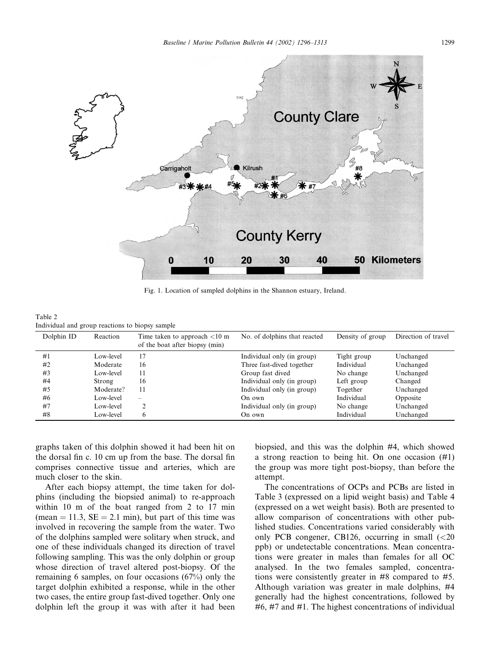

Fig. 1. Location of sampled dolphins in the Shannon estuary, Ireland.

| Table 2                                         |  |  |  |
|-------------------------------------------------|--|--|--|
| Individual and group reactions to biopsy sample |  |  |  |

| Dolphin ID | Reaction  | Time taken to approach $\langle 10 \text{ m} \rangle$<br>of the boat after biopsy (min) | No. of dolphins that reacted | Density of group | Direction of travel |
|------------|-----------|-----------------------------------------------------------------------------------------|------------------------------|------------------|---------------------|
| #1         | Low-level | 17                                                                                      | Individual only (in group)   | Tight group      | Unchanged           |
| #2         | Moderate  | 16                                                                                      | Three fast-dived together    | Individual       | Unchanged           |
| #3         | Low-level | 11                                                                                      | Group fast dived             | No change        | Unchanged           |
| #4         | Strong    | 16                                                                                      | Individual only (in group)   | Left group       | Changed             |
| #5         | Moderate? | 11                                                                                      | Individual only (in group)   | Together         | Unchanged           |
| #6         | Low-level |                                                                                         | On own                       | Individual       | Opposite            |
| #7         | Low-level |                                                                                         | Individual only (in group)   | No change        | Unchanged           |
| #8         | Low-level | 6                                                                                       | On own                       | Individual       | Unchanged           |

graphs taken of this dolphin showed it had been hit on the dorsal fin c. 10 cm up from the base. The dorsal fin comprises connective tissue and arteries, which are much closer to the skin.

After each biopsy attempt, the time taken for dolphins (including the biopsied animal) to re-approach within 10 m of the boat ranged from 2 to 17 min (mean  $= 11.3$ , SE  $= 2.1$  min), but part of this time was involved in recovering the sample from the water. Two of the dolphins sampled were solitary when struck, and one of these individuals changed its direction of travel following sampling. This was the only dolphin or group whose direction of travel altered post-biopsy. Of the remaining 6 samples, on four occasions (67%) only the target dolphin exhibited a response, while in the other two cases, the entire group fast-dived together. Only one dolphin left the group it was with after it had been

biopsied, and this was the dolphin #4, which showed a strong reaction to being hit. On one occasion (#1) the group was more tight post-biopsy, than before the attempt.

The concentrations of OCPs and PCBs are listed in Table 3 (expressed on a lipid weight basis) and Table 4 (expressed on a wet weight basis). Both are presented to allow comparison of concentrations with other published studies. Concentrations varied considerably with only PCB congener, CB126, occurring in small  $\langle$  <20 ppb) or undetectable concentrations. Mean concentrations were greater in males than females for all OC analysed. In the two females sampled, concentrations were consistently greater in #8 compared to #5. Although variation was greater in male dolphins, #4 generally had the highest concentrations, followed by #6, #7 and #1. The highest concentrations of individual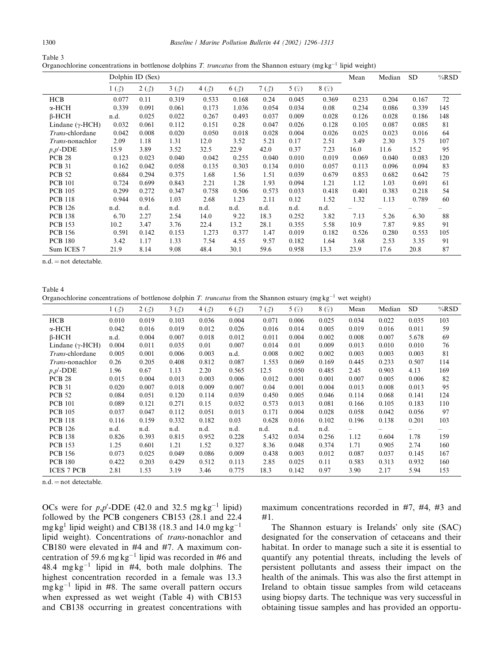| Table 3                                                                                                                  |  |
|--------------------------------------------------------------------------------------------------------------------------|--|
| Organochlorine concentrations in bottlenose dolphins T. truncatus from the Shannon estuary ( $mg\,kg^{-1}$ lipid weight) |  |

|                         | Dolphin ID (Sex) |       |       |       |       |       |       | Mean  | Median | <b>SD</b> | %RSD  |     |
|-------------------------|------------------|-------|-------|-------|-------|-------|-------|-------|--------|-----------|-------|-----|
|                         | 1(3)             | 2(3)  | 3(3)  | 4(3)  | 6(3)  | 7(3)  | 5(9)  | 8(9)  |        |           |       |     |
| <b>HCB</b>              | 0.077            | 0.11  | 0.319 | 0.533 | 0.168 | 0.24  | 0.045 | 0.369 | 0.233  | 0.204     | 0.167 | 72  |
| α-HCH                   | 0.339            | 0.091 | 0.061 | 0.173 | 1.036 | 0.054 | 0.034 | 0.08  | 0.234  | 0.086     | 0.339 | 145 |
| $\beta$ -HCH            | n.d.             | 0.025 | 0.022 | 0.267 | 0.493 | 0.037 | 0.009 | 0.028 | 0.126  | 0.028     | 0.186 | 148 |
| Lindane $(\gamma$ -HCH) | 0.032            | 0.061 | 0.112 | 0.151 | 0.28  | 0.047 | 0.026 | 0.128 | 0.105  | 0.087     | 0.085 | 81  |
| <i>Trans-chlordane</i>  | 0.042            | 0.008 | 0.020 | 0.050 | 0.018 | 0.028 | 0.004 | 0.026 | 0.025  | 0.023     | 0.016 | 64  |
| <i>Trans-nonachlor</i>  | 2.09             | 1.18  | 1.31  | 12.0  | 3.52  | 5.21  | 0.17  | 2.51  | 3.49   | 2.30      | 3.75  | 107 |
| $p, p'$ -DDE            | 15.9             | 3.89  | 3.52  | 32.5  | 22.9  | 42.0  | 0.37  | 7.23  | 16.0   | 11.6      | 15.2  | 95  |
| <b>PCB 28</b>           | 0.123            | 0.023 | 0.040 | 0.042 | 0.255 | 0.040 | 0.010 | 0.019 | 0.069  | 0.040     | 0.083 | 120 |
| <b>PCB 31</b>           | 0.162            | 0.042 | 0.058 | 0.135 | 0.303 | 0.134 | 0.010 | 0.057 | 0.113  | 0.096     | 0.094 | 83  |
| <b>PCB 52</b>           | 0.684            | 0.294 | 0.375 | 1.68  | 1.56  | 1.51  | 0.039 | 0.679 | 0.853  | 0.682     | 0.642 | 75  |
| <b>PCB</b> 101          | 0.724            | 0.699 | 0.843 | 2.21  | 1.28  | 1.93  | 0.094 | 1.21  | 1.12   | 1.03      | 0.691 | 61  |
| <b>PCB 105</b>          | 0.299            | 0.272 | 0.347 | 0.758 | 0.506 | 0.573 | 0.033 | 0.418 | 0.401  | 0.383     | 0.218 | 54  |
| <b>PCB 118</b>          | 0.944            | 0.916 | 1.03  | 2.68  | 1.23  | 2.11  | 0.12  | 1.52  | 1.32   | 1.13      | 0.789 | 60  |
| <b>PCB</b> 126          | n.d.             | n.d.  | n.d.  | n.d.  | n.d.  | n.d.  | n.d.  | n.d.  |        |           |       |     |
| <b>PCB 138</b>          | 6.70             | 2.27  | 2.54  | 14.0  | 9.22  | 18.3  | 0.252 | 3.82  | 7.13   | 5.26      | 6.30  | 88  |
| <b>PCB 153</b>          | 10.2             | 3.47  | 3.76  | 22.4  | 13.2  | 28.1  | 0.355 | 5.58  | 10.9   | 7.87      | 9.85  | 91  |
| <b>PCB 156</b>          | 0.591            | 0.142 | 0.153 | 1.273 | 0.377 | 1.47  | 0.019 | 0.182 | 0.526  | 0.280     | 0.553 | 105 |
| <b>PCB 180</b>          | 3.42             | 1.17  | 1.33  | 7.54  | 4.55  | 9.57  | 0.182 | 1.64  | 3.68   | 2.53      | 3.35  | 91  |
| Sum ICES 7              | 21.9             | 8.14  | 9.08  | 48.4  | 30.1  | 59.6  | 0.958 | 13.3  | 23.9   | 17.6      | 20.8  | 87  |

 $n.d. = not detectable.$ 

Table 4

| 1 uviv                                                                                                              |  |
|---------------------------------------------------------------------------------------------------------------------|--|
| Organochlorine concentrations of bottlenose dolphin T. truncatus from the Shannon estuary (mg $kg^{-1}$ wet weight) |  |

|                          | $1\left(\mathcal{J}\right)$ | 2(3)  | 3(3)  | 4(3)  | 6(3)  | 7(3)  | 5(9)  | 8(9)  | Mean  | Median | SD    | %RSD |
|--------------------------|-----------------------------|-------|-------|-------|-------|-------|-------|-------|-------|--------|-------|------|
| <b>HCB</b>               | 0.010                       | 0.019 | 0.103 | 0.036 | 0.004 | 0.071 | 0.006 | 0.025 | 0.034 | 0.022  | 0.035 | 103  |
| $\alpha$ -HCH            | 0.042                       | 0.016 | 0.019 | 0.012 | 0.026 | 0.016 | 0.014 | 0.005 | 0.019 | 0.016  | 0.011 | 59   |
| $\beta$ -HCH             | n.d.                        | 0.004 | 0.007 | 0.018 | 0.012 | 0.011 | 0.004 | 0.002 | 0.008 | 0.007  | 5.678 | 69   |
| Lindane ( $\gamma$ -HCH) | 0.004                       | 0.011 | 0.035 | 0.01  | 0.007 | 0.014 | 0.01  | 0.009 | 0.013 | 0.010  | 0.010 | 76   |
| <i>Trans-chlordane</i>   | 0.005                       | 0.001 | 0.006 | 0.003 | n.d.  | 0.008 | 0.002 | 0.002 | 0.003 | 0.003  | 0.003 | 81   |
| <i>Trans-nonachlor</i>   | 0.26                        | 0.205 | 0.408 | 0.812 | 0.087 | 1.553 | 0.069 | 0.169 | 0.445 | 0.233  | 0.507 | 114  |
| $p, p'$ -DDE             | 1.96                        | 0.67  | 1.13  | 2.20  | 0.565 | 12.5  | 0.050 | 0.485 | 2.45  | 0.903  | 4.13  | 169  |
| <b>PCB 28</b>            | 0.015                       | 0.004 | 0.013 | 0.003 | 0.006 | 0.012 | 0.001 | 0.001 | 0.007 | 0.005  | 0.006 | 82   |
| <b>PCB 31</b>            | 0.020                       | 0.007 | 0.018 | 0.009 | 0.007 | 0.04  | 0.001 | 0.004 | 0.013 | 0.008  | 0.013 | 95   |
| <b>PCB 52</b>            | 0.084                       | 0.051 | 0.120 | 0.114 | 0.039 | 0.450 | 0.005 | 0.046 | 0.114 | 0.068  | 0.141 | 124  |
| <b>PCB</b> 101           | 0.089                       | 0.121 | 0.271 | 0.15  | 0.032 | 0.573 | 0.013 | 0.081 | 0.166 | 0.105  | 0.183 | 110  |
| <b>PCB</b> 105           | 0.037                       | 0.047 | 0.112 | 0.051 | 0.013 | 0.171 | 0.004 | 0.028 | 0.058 | 0.042  | 0.056 | 97   |
| <b>PCB 118</b>           | 0.116                       | 0.159 | 0.332 | 0.182 | 0.03  | 0.628 | 0.016 | 0.102 | 0.196 | 0.138  | 0.201 | 103  |
| <b>PCB</b> 126           | n.d.                        | n.d.  | n.d.  | n.d.  | n.d.  | n.d.  | n.d.  | n.d.  |       |        |       |      |
| <b>PCB 138</b>           | 0.826                       | 0.393 | 0.815 | 0.952 | 0.228 | 5.432 | 0.034 | 0.256 | 1.12  | 0.604  | 1.78  | 159  |
| <b>PCB 153</b>           | 1.25                        | 0.601 | 1.21  | 1.52  | 0.327 | 8.36  | 0.048 | 0.374 | 1.71  | 0.905  | 2.74  | 160  |
| <b>PCB</b> 156           | 0.073                       | 0.025 | 0.049 | 0.086 | 0.009 | 0.438 | 0.003 | 0.012 | 0.087 | 0.037  | 0.145 | 167  |
| <b>PCB 180</b>           | 0.422                       | 0.203 | 0.429 | 0.512 | 0.113 | 2.85  | 0.025 | 0.11  | 0.583 | 0.313  | 0.932 | 160  |
| <b>ICES 7 PCB</b>        | 2.81                        | 1.53  | 3.19  | 3.46  | 0.775 | 18.3  | 0.142 | 0.97  | 3.90  | 2.17   | 5.94  | 153  |

 $n.d. = not detectable.$ 

OCs were for  $p, p'$ -DDE (42.0 and 32.5 mg kg<sup>-1</sup> lipid) followed by the PCB congeners CB153 (28.1 and 22.4 mg kg<sup>1</sup> lipid weight) and CB138 (18.3 and 14.0 mg kg<sup>-1</sup> lipid weight). Concentrations of trans-nonachlor and CB180 were elevated in #4 and #7. A maximum concentration of 59.6 mg kg<sup>-1</sup> lipid was recorded in #6 and 48.4 mg  $kg^{-1}$  lipid in #4, both male dolphins. The highest concentration recorded in a female was 13.3  $mg \log^{-1}$  lipid in #8. The same overall pattern occurs when expressed as wet weight (Table 4) with CB153 and CB138 occurring in greatest concentrations with

maximum concentrations recorded in #7, #4, #3 and #1.

The Shannon estuary is Irelands' only site (SAC) designated for the conservation of cetaceans and their habitat. In order to manage such a site it is essential to quantify any potential threats, including the levels of persistent pollutants and assess their impact on the health of the animals. This was also the first attempt in Ireland to obtain tissue samples from wild cetaceans using biopsy darts. The technique was very successful in obtaining tissue samples and has provided an opportu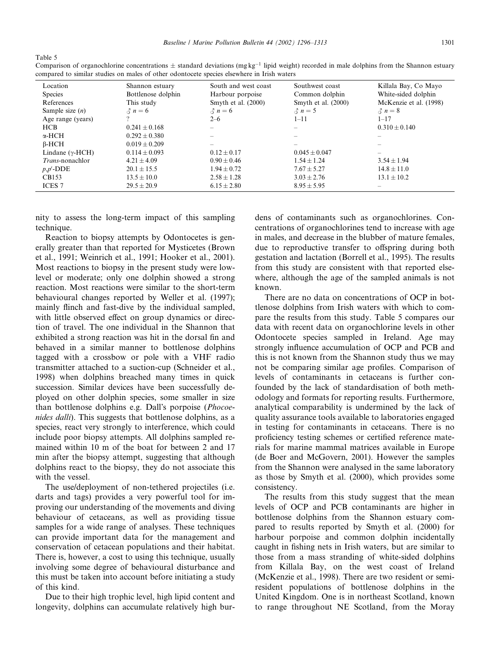Baseline / Marine Pollution Bulletin 44 (2002) 1296–1313 1301

Table 5

| Location                | Shannon estuary    | South and west coast  | Southwest coast       | Killala Bay, Co Mayo   |
|-------------------------|--------------------|-----------------------|-----------------------|------------------------|
| Species                 | Bottlenose dolphin | Harbour porpoise      | Common dolphin        | White-sided dolphin    |
| References              | This study         | Smyth et al. $(2000)$ | Smyth et al. $(2000)$ | McKenzie et al. (1998) |
| Sample size $(n)$       | $\Im n = 6$        | $\Im n = 6$           | $\Im n = 5$           | $\Im n=8$              |
| Age range (years)       |                    | $2 - 6$               | $1 - 11$              | $1 - 17$               |
| <b>HCB</b>              | $0.241 \pm 0.168$  |                       |                       | $0.310 + 0.140$        |
| $\alpha$ -HCH           | $0.292 \pm 0.380$  |                       |                       |                        |
| $\beta$ -HCH            | $0.019 \pm 0.209$  | $\hspace{0.05cm}$     |                       |                        |
| Lindane $(\gamma$ -HCH) | $0.114 \pm 0.093$  | $0.12 \pm 0.17$       | $0.045 \pm 0.047$     |                        |
| <i>Trans-nonachlor</i>  | $4.21 \pm 4.09$    | $0.90 \pm 0.46$       | $1.54 \pm 1.24$       | $3.54 \pm 1.94$        |
| $p, p'$ -DDE            | $20.1 \pm 15.5$    | $1.94 \pm 0.72$       | $7.67 \pm 5.27$       | $14.8 \pm 11.0$        |
| CB153                   | $13.5 \pm 10.0$    | $2.58 \pm 1.28$       | $3.03 \pm 2.76$       | $13.1 \pm 10.2$        |
| ICES <sub>7</sub>       | $29.5 \pm 20.9$    | $6.15 \pm 2.80$       | $8.95 \pm 5.95$       |                        |

Comparison of organochlorine concentrations  $\pm$  standard deviations (mg kg<sup>-1</sup> lipid weight) recorded in male dolphins from the Shannon estuary compared to similar studies on males of other odontocete species elsewhere in Irish waters

nity to assess the long-term impact of this sampling technique.

Reaction to biopsy attempts by Odontocetes is generally greater than that reported for Mysticetes (Brown et al., 1991; Weinrich et al., 1991; Hooker et al., 2001). Most reactions to biopsy in the present study were lowlevel or moderate; only one dolphin showed a strong reaction. Most reactions were similar to the short-term behavioural changes reported by Weller et al. (1997); mainly flinch and fast-dive by the individual sampled, with little observed effect on group dynamics or direction of travel. The one individual in the Shannon that exhibited a strong reaction was hit in the dorsal fin and behaved in a similar manner to bottlenose dolphins tagged with a crossbow or pole with a VHF radio transmitter attached to a suction-cup (Schneider et al., 1998) when dolphins breached many times in quick succession. Similar devices have been successfully deployed on other dolphin species, some smaller in size than bottlenose dolphins e.g. Dall's porpoise (Phocoenides dalli). This suggests that bottlenose dolphins, as a species, react very strongly to interference, which could include poor biopsy attempts. All dolphins sampled remained within 10 m of the boat for between 2 and 17 min after the biopsy attempt, suggesting that although dolphins react to the biopsy, they do not associate this with the vessel.

The use/deployment of non-tethered projectiles (i.e. darts and tags) provides a very powerful tool for improving our understanding of the movements and diving behaviour of cetaceans, as well as providing tissue samples for a wide range of analyses. These techniques can provide important data for the management and conservation of cetacean populations and their habitat. There is, however, a cost to using this technique, usually involving some degree of behavioural disturbance and this must be taken into account before initiating a study of this kind.

Due to their high trophic level, high lipid content and longevity, dolphins can accumulate relatively high burdens of contaminants such as organochlorines. Concentrations of organochlorines tend to increase with age in males, and decrease in the blubber of mature females, due to reproductive transfer to offspring during both gestation and lactation (Borrell et al., 1995). The results from this study are consistent with that reported elsewhere, although the age of the sampled animals is not known.

There are no data on concentrations of OCP in bottlenose dolphins from Irish waters with which to compare the results from this study. Table 5 compares our data with recent data on organochlorine levels in other Odontocete species sampled in Ireland. Age may strongly influence accumulation of OCP and PCB and this is not known from the Shannon study thus we may not be comparing similar age profiles. Comparison of levels of contaminants in cetaceans is further confounded by the lack of standardisation of both methodology and formats for reporting results. Furthermore, analytical comparability is undermined by the lack of quality assurance tools available to laboratories engaged in testing for contaminants in cetaceans. There is no proficiency testing schemes or certified reference materials for marine mammal matrices available in Europe (de Boer and McGovern, 2001). However the samples from the Shannon were analysed in the same laboratory as those by Smyth et al. (2000), which provides some consistency.

The results from this study suggest that the mean levels of OCP and PCB contaminants are higher in bottlenose dolphins from the Shannon estuary compared to results reported by Smyth et al. (2000) for harbour porpoise and common dolphin incidentally caught in fishing nets in Irish waters, but are similar to those from a mass stranding of white-sided dolphins from Killala Bay, on the west coast of Ireland (McKenzie et al., 1998). There are two resident or semiresident populations of bottlenose dolphins in the United Kingdom. One is in northeast Scotland, known to range throughout NE Scotland, from the Moray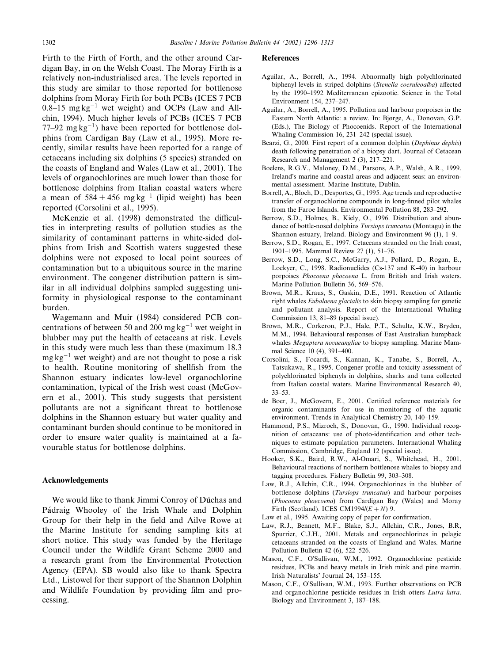Firth to the Firth of Forth, and the other around Cardigan Bay, in on the Welsh Coast. The Moray Firth is a relatively non-industrialised area. The levels reported in this study are similar to those reported for bottlenose dolphins from Moray Firth for both PCBs (ICES 7 PCB  $0.8-15$  mg kg<sup>-1</sup> wet weight) and OCPs (Law and Allchin, 1994). Much higher levels of PCBs (ICES 7 PCB  $77-92$  mg kg<sup>-1</sup>) have been reported for bottlenose dolphins from Cardigan Bay (Law et al., 1995). More recently, similar results have been reported for a range of cetaceans including six dolphins (5 species) stranded on the coasts of England and Wales (Law et al., 2001). The levels of organochlorines are much lower than those for bottlenose dolphins from Italian coastal waters where a mean of  $584 \pm 456$  mg kg<sup>-1</sup> (lipid weight) has been reported (Corsolini et al., 1995).

McKenzie et al. (1998) demonstrated the difficulties in interpreting results of pollution studies as the similarity of contaminant patterns in white-sided dolphins from Irish and Scottish waters suggested these dolphins were not exposed to local point sources of contamination but to a ubiquitous source in the marine environment. The congener distribution pattern is similar in all individual dolphins sampled suggesting uniformity in physiological response to the contaminant burden.

Wagemann and Muir (1984) considered PCB concentrations of between 50 and 200 mg kg<sup>-1</sup> wet weight in blubber may put the health of cetaceans at risk. Levels in this study were much less than these (maximum 18.3  $mg \, kg^{-1}$  wet weight) and are not thought to pose a risk to health. Routine monitoring of shellfish from the Shannon estuary indicates low-level organochlorine contamination, typical of the Irish west coast (McGovern et al., 2001). This study suggests that persistent pollutants are not a significant threat to bottlenose dolphins in the Shannon estuary but water quality and contaminant burden should continue to be monitored in order to ensure water quality is maintained at a favourable status for bottlenose dolphins.

## Acknowledgements

We would like to thank Jimmi Conroy of Dúchas and Pádraig Whooley of the Irish Whale and Dolphin Group for their help in the field and Ailve Rowe at the Marine Institute for sending sampling kits at short notice. This study was funded by the Heritage Council under the Wildlife Grant Scheme 2000 and a research grant from the Environmental Protection Agency (EPA). SB would also like to thank Spectra Ltd., Listowel for their support of the Shannon Dolphin and Wildlife Foundation by providing film and processing.

## References

- Aguilar, A., Borrell, A., 1994. Abnormally high polychlorinated biphenyl levels in striped dolphins (Stenella coeruleoalba) affected by the 1990–1992 Mediterranean epizootic. Science in the Total Environment 154, 237–247.
- Aguilar, A., Borrell, A., 1995. Pollution and harbour porpoises in the Eastern North Atlantic: a review. In: Bjørge, A., Donovan, G.P. (Eds.), The Biology of Phocoenids. Report of the International Whaling Commission 16, 231–242 (special issue).
- Bearzi, G., 2000. First report of a common dolphin (Dephinus dephis) death following penetration of a biopsy dart. Journal of Cetacean Research and Management 2 (3), 217–221.
- Boelens, R.G.V., Maloney, D.M., Parsons, A.P., Walsh, A.R., 1999. Ireland's marine and coastal areas and adjacent seas: an environmental assessment. Marine Institute, Dublin.
- Borrell, A., Bloch, D., Desportes, G., 1995. Age trends and reproductive transfer of organochlorine compounds in long-finned pilot whales from the Faroe Islands. Environmental Pollution 88, 283–292.
- Berrow, S.D., Holmes, B., Kiely, O., 1996. Distribution and abundance of bottle-nosed dolphins Tursiops truncatus (Montagu) in the Shannon estuary, Ireland. Biology and Environment 96 (1), 1–9.
- Berrow, S.D., Rogan, E., 1997. Cetaceans stranded on the Irish coast, 1901–1995. Mammal Review 27 (1), 51–76.
- Berrow, S.D., Long, S.C., McGarry, A.J., Pollard, D., Rogan, E., Lockyer, C., 1998. Radionuclides (Cs-137 and K-40) in harbour porpoises Phocoena phocoena L. from British and Irish waters. Marine Pollution Bulletin 36, 569–576.
- Brown, M.R., Kraus, S., Gaskin, D.E., 1991. Reaction of Atlantic right whales Eubalaena glacialis to skin biopsy sampling for genetic and pollutant analysis. Report of the International Whaling Commission 13, 81–89 (special issue).
- Brown, M.R., Corkeron, P.J., Hale, P.T., Schultz, K.W., Bryden, M.M., 1994. Behavioural responses of East Australian humpback whales Megaptera novaeangliae to biopsy sampling. Marine Mammal Science 10 (4), 391–400.
- Corsolini, S., Focardi, S., Kannan, K., Tanabe, S., Borrell, A., Tatsukawa, R., 1995. Congener profile and toxicity assessment of polychlorinated biphenyls in dolphins, sharks and tuna collected from Italian coastal waters. Marine Environmental Research 40, 33–53.
- de Boer, J., McGovern, E., 2001. Certified reference materials for organic contaminants for use in monitoring of the aquatic environment. Trends in Analytical Chemistry 20, 140–159.
- Hammond, P.S., Mizroch, S., Donovan, G., 1990. Individual recognition of cetaceans: use of photo-identification and other techniques to estimate population parameters. International Whaling Commission, Cambridge, England 12 (special issue).
- Hooker, S.K., Baird, R.W., Al-Omari, S., Whitehead, H., 2001. Behavioural reactions of northern bottlenose whales to biopsy and tagging procedures. Fishery Bulletin 99, 303–308.
- Law, R.J., Allchin, C.R., 1994. Organochlorines in the blubber of bottlenose dolphins (Tursiops truncatus) and harbour porpoises (Phocoena phoecoena) from Cardigan Bay (Wales) and Moray Firth (Scotland). ICES CM1994/ $(E + N)$  9.
- Law et al., 1995. Awaiting copy of paper for confirmation.
- Law, R.J., Bennett, M.F., Blake, S.J., Allchin, C.R., Jones, B.R, Spurrier, C.J.H., 2001. Metals and organochlorines in pelagic cetaceans stranded on the coasts of England and Wales. Marine Pollution Bulletin 42 (6), 522–526.
- Mason, C.F., O'Sullivan, W.M., 1992. Organochlorine pesticide residues, PCBs and heavy metals in Irish mink and pine martin. Irish Naturalists' Journal 24, 153-155.
- Mason, C.F., O'Sullivan, W.M., 1993. Further observations on PCB and organochlorine pesticide residues in Irish otters Lutra lutra. Biology and Environment 3, 187–188.